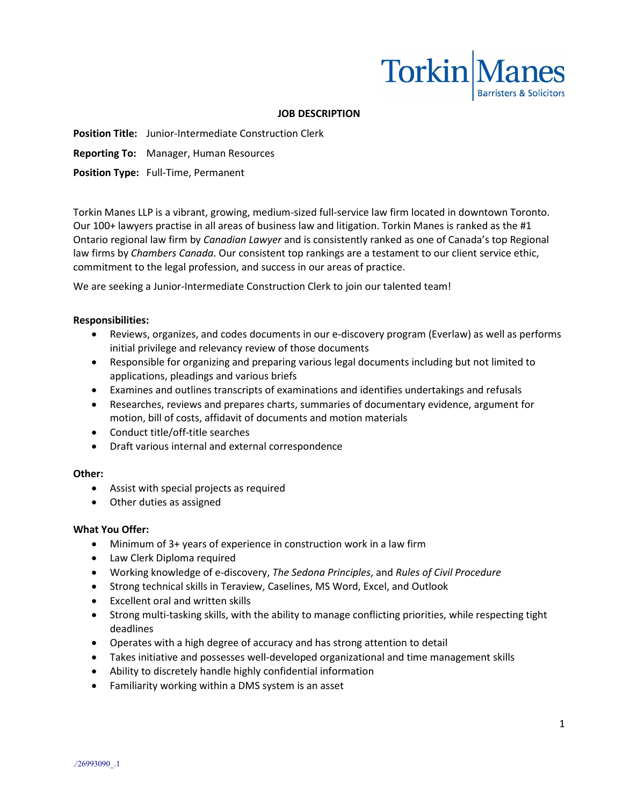

## **JOB DESCRIPTION**

**Position Title:** Junior-Intermediate Construction Clerk

- **Reporting To:** Manager, Human Resources
- **Position Type:** Full-Time, Permanent

Torkin Manes LLP is a vibrant, growing, medium-sized full-service law firm located in downtown Toronto. Our 100+ lawyers practise in all areas of business law and litigation. Torkin Manes is ranked as the #1 Ontario regional law firm by *Canadian Lawyer* and is consistently ranked as one of Canada's top Regional law firms by *Chambers Canada*. Our consistent top rankings are a testament to our client service ethic, commitment to the legal profession, and success in our areas of practice.

We are seeking a Junior-Intermediate Construction Clerk to join our talented team!

### **Responsibilities:**

- Reviews, organizes, and codes documents in our e-discovery program (Everlaw) as well as performs initial privilege and relevancy review of those documents
- Responsible for organizing and preparing various legal documents including but not limited to applications, pleadings and various briefs
- Examines and outlines transcripts of examinations and identifies undertakings and refusals
- Researches, reviews and prepares charts, summaries of documentary evidence, argument for motion, bill of costs, affidavit of documents and motion materials
- Conduct title/off-title searches
- Draft various internal and external correspondence

### **Other:**

- Assist with special projects as required
- Other duties as assigned

### **What You Offer:**

- Minimum of 3+ years of experience in construction work in a law firm
- Law Clerk Diploma required
- Working knowledge of e-discovery, *The Sedona Principles*, and *Rules of Civil Procedure*
- **•** Strong technical skills in Teraview, Caselines, MS Word, Excel, and Outlook
- Excellent oral and written skills
- Strong multi-tasking skills, with the ability to manage conflicting priorities, while respecting tight deadlines
- Operates with a high degree of accuracy and has strong attention to detail
- Takes initiative and possesses well-developed organizational and time management skills
- Ability to discretely handle highly confidential information
- Familiarity working within a DMS system is an asset